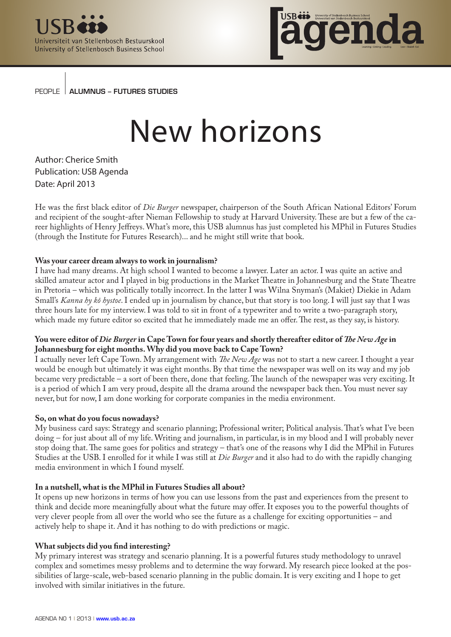



PEOPLE | ALUMNUS - FUTURES STUDIES

# New horizons

Author: Cherice Smith Publication: USB Agenda Date: April 2013

He was the first black editor of *Die Burger* newspaper, chairperson of the South African National Editors' Forum and recipient of the sought-after Nieman Fellowship to study at Harvard University. These are but a few of the career highlights of Henry Jeffreys. What's more, this USB alumnus has just completed his MPhil in Futures Studies (through the Institute for Futures Research)... and he might still write that book.

# **Was your career dream always to work in journalism?**

I have had many dreams. At high school I wanted to become a lawyer. Later an actor. I was quite an active and skilled amateur actor and I played in big productions in the Market Theatre in Johannesburg and the State Theatre in Pretoria – which was politically totally incorrect. In the latter I was Wilna Snyman's (Makiet) Diekie in Adam Small's *Kanna hy kô hystoe*. I ended up in journalism by chance, but that story is too long. I will just say that I was three hours late for my interview. I was told to sit in front of a typewriter and to write a two-paragraph story, which made my future editor so excited that he immediately made me an offer. The rest, as they say, is history.

# **You were editor of** *Die Burger* **in Cape Town for four years and shortly thereafter editor of** *The New Age* **in Johannesburg for eight months. Why did you move back to Cape Town?**

I actually never left Cape Town. My arrangement with *The New Age* was not to start a new career. I thought a year would be enough but ultimately it was eight months. By that time the newspaper was well on its way and my job became very predictable – a sort of been there, done that feeling. The launch of the newspaper was very exciting. It is a period of which I am very proud, despite all the drama around the newspaper back then. You must never say never, but for now, I am done working for corporate companies in the media environment.

## **So, on what do you focus nowadays?**

My business card says: Strategy and scenario planning; Professional writer; Political analysis. That's what I've been doing – for just about all of my life. Writing and journalism, in particular, is in my blood and I will probably never stop doing that. The same goes for politics and strategy – that's one of the reasons why I did the MPhil in Futures Studies at the USB. I enrolled for it while I was still at *Die Burger* and it also had to do with the rapidly changing media environment in which I found myself.

## **In a nutshell, what is the MPhil in Futures Studies all about?**

It opens up new horizons in terms of how you can use lessons from the past and experiences from the present to think and decide more meaningfully about what the future may offer. It exposes you to the powerful thoughts of very clever people from all over the world who see the future as a challenge for exciting opportunities – and actively help to shape it. And it has nothing to do with predictions or magic.

## **What subjects did you find interesting?**

My primary interest was strategy and scenario planning. It is a powerful futures study methodology to unravel complex and sometimes messy problems and to determine the way forward. My research piece looked at the possibilities of large-scale, web-based scenario planning in the public domain. It is very exciting and I hope to get involved with similar initiatives in the future.